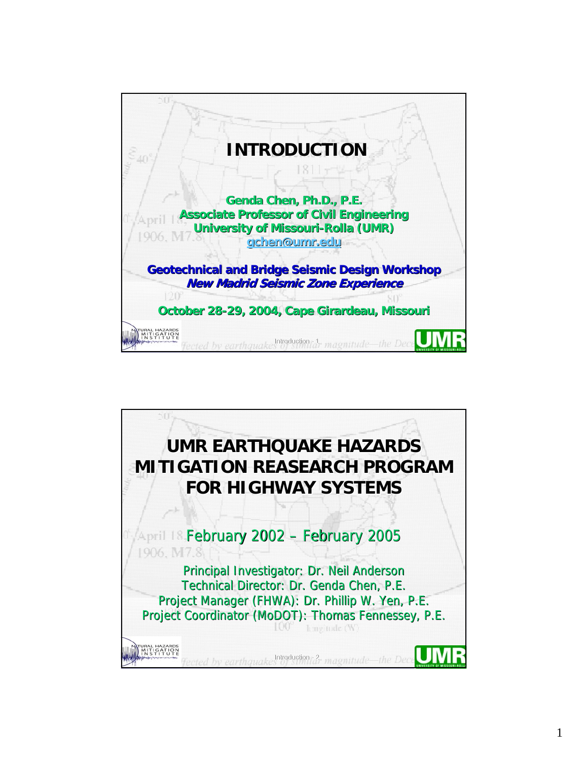

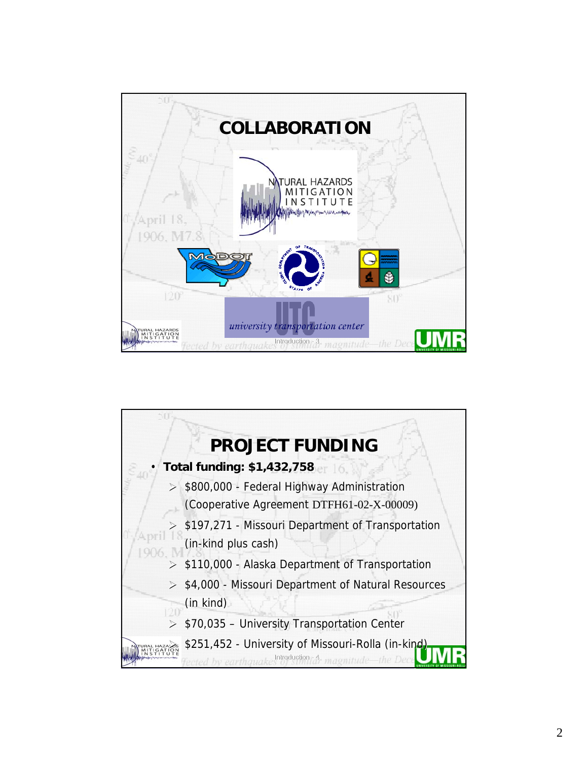

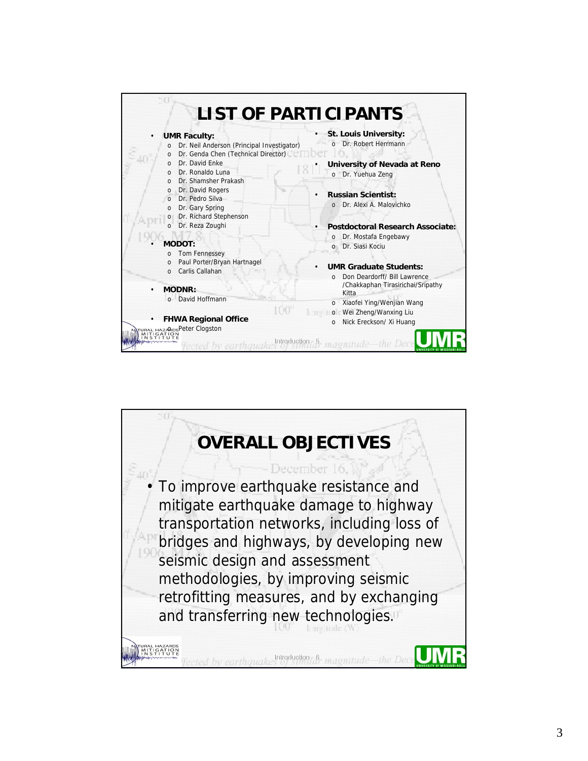